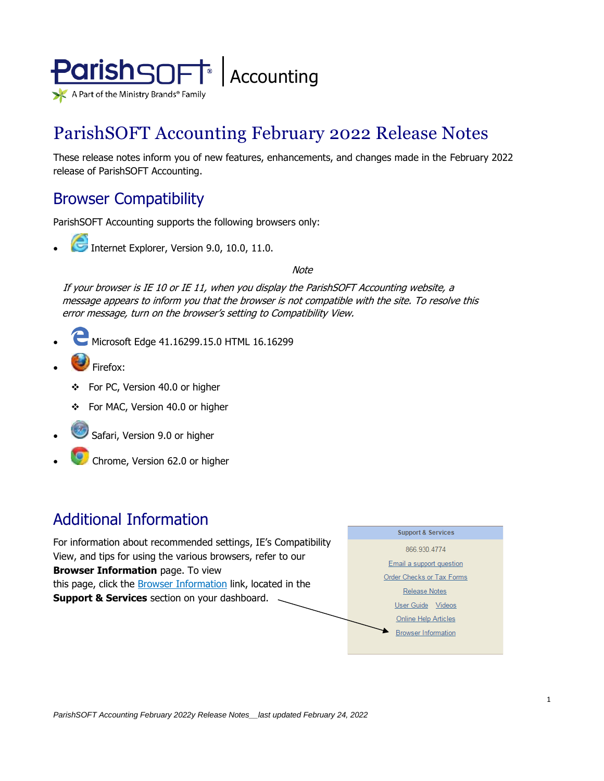

# ParishSOFT Accounting February 2022 Release Notes

These release notes inform you of new features, enhancements, and changes made in the February 2022 release of ParishSOFT Accounting.

### Browser Compatibility

ParishSOFT Accounting supports the following browsers only:

**• Internet Explorer, Version 9.0, 10.0, 11.0.** 

**Note** 

If your browser is IE 10 or IE 11, when you display the ParishSOFT Accounting website, a message appears to inform you that the browser is not compatible with the site. To resolve this error message, turn on the browser's setting to Compatibility View.

- Microsoft Edge 41.16299.15.0 HTML 16.16299
- Firefox:
	- ❖ For PC, Version 40.0 or higher
	- ❖ For MAC, Version 40.0 or higher
- Safari, Version 9.0 or higher
- Chrome, Version 62.0 or higher

## Additional Information

For information about recommended settings, IE's Compatibility View, and tips for using the various browsers, refer to our **Browser Information** page. To view this page, click the **Browser Information** link, located in the **Support & Services** section on your dashboard.

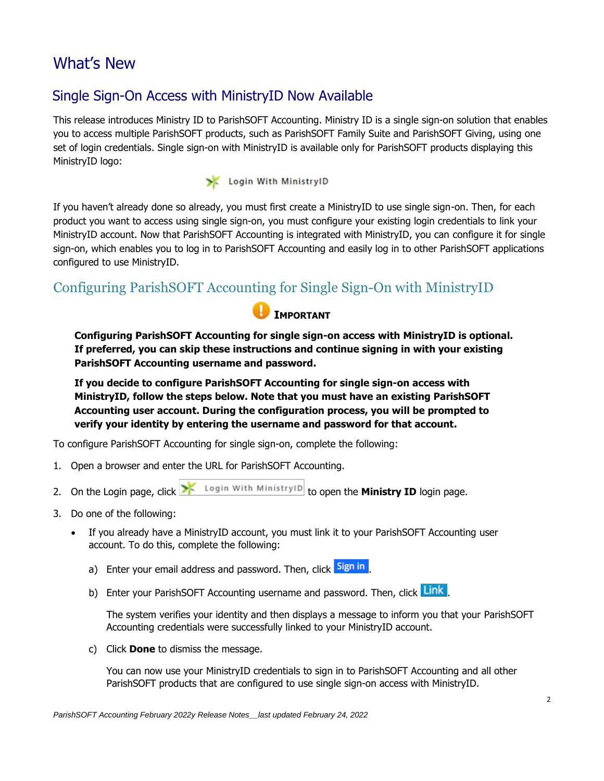## What's New

### Single Sign-On Access with MinistryID Now Available

This release introduces Ministry ID to ParishSOFT Accounting. Ministry ID is a single sign-on solution that enables you to access multiple ParishSOFT products, such as ParishSOFT Family Suite and ParishSOFT Giving, using one set of login credentials. Single sign-on with MinistryID is available only for ParishSOFT products displaying this MinistryID logo:

#### Login With MinistryID

If you haven't already done so already, you must first create a MinistryID to use single sign-on. Then, for each product you want to access using single sign-on, you must configure your existing login credentials to link your MinistryID account. Now that ParishSOFT Accounting is integrated with MinistryID, you can configure it for single sign-on, which enables you to log in to ParishSOFT Accounting and easily log in to other ParishSOFT applications configured to use MinistryID.

#### Configuring ParishSOFT Accounting for Single Sign-On with MinistryID



**Configuring ParishSOFT Accounting for single sign-on access with MinistryID is optional. If preferred, you can skip these instructions and continue signing in with your existing ParishSOFT Accounting username and password.** 

**If you decide to configure ParishSOFT Accounting for single sign-on access with MinistryID, follow the steps below. Note that you must have an existing ParishSOFT Accounting user account. During the configuration process, you will be prompted to verify your identity by entering the username and password for that account.** 

To configure ParishSOFT Accounting for single sign-on, complete the following:

- 1. Open a browser and enter the URL for ParishSOFT Accounting.
- 2. On the Login page, click **X** Login With Ministry **ID** to open the **Ministry ID** login page.
- 3. Do one of the following:
	- If you already have a MinistryID account, you must link it to your ParishSOFT Accounting user account. To do this, complete the following:
		- a) Enter your email address and password. Then, click slign in
		- b) Enter your ParishSOFT Accounting username and password. Then, click Link

The system verifies your identity and then displays a message to inform you that your ParishSOFT Accounting credentials were successfully linked to your MinistryID account.

c) Click **Done** to dismiss the message.

You can now use your MinistryID credentials to sign in to ParishSOFT Accounting and all other ParishSOFT products that are configured to use single sign-on access with MinistryID.